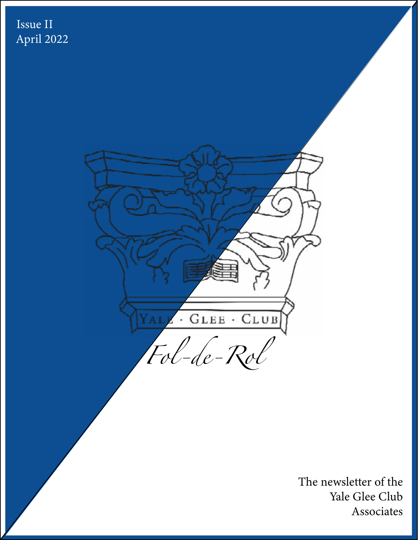



The newsletter of the Yale Glee Club Associates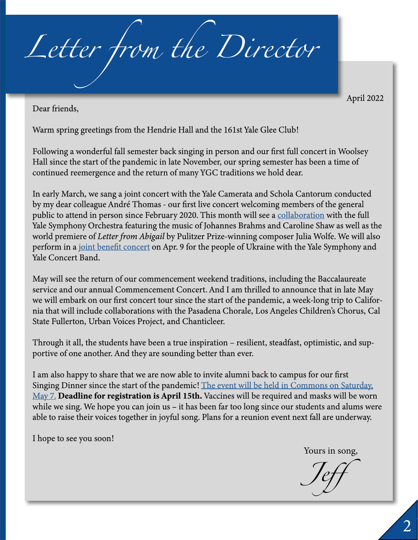*Letter from the Director*

April 2022

Dear friends,

Warm spring greetings from the Hendrie Hall and the 161st Yale Glee Club!

Following a wonderful fall semester back singing in person and our first full concert in Woolsey Hall since the start of the pandemic in late November, our spring semester has been a time of continued reemergence and the return of many YGC traditions we hold dear.

In early March, we sang a joint concert with the Yale Camerata and Schola Cantorum conducted by my dear colleague André Thomas - our first live concert welcoming members of the general public to attend in person since February 2020. This month will see a [collaboration](https://www.eventbrite.com/e/music-in-common-time-yale-camerata-yale-glee-club-yale-symphony-orchestra-registration-297328466447) with the full Yale Symphony Orchestra featuring the music of Johannes Brahms and Caroline Shaw as well as the world premiere of *Letter from Abigail* by Pulitzer Prize-winning composer Julia Wolfe. We will also perform in a [joint benefit concert](https://www.eventbrite.com/e/benefit-concert-for-the-people-of-ukraine-tickets-304244582737) on Apr. 9 for the people of Ukraine with the Yale Symphony and Yale Concert Band.

May will see the return of our commencement weekend traditions, including the Baccalaureate service and our annual Commencement Concert. And I am thrilled to announce that in late May we will embark on our first concert tour since the start of the pandemic, a week-long trip to California that will include collaborations with the Pasadena Chorale, Los Angeles Children's Chorus, Cal State Fullerton, Urban Voices Project, and Chanticleer.

Through it all, the students have been a true inspiration – resilient, steadfast, optimistic, and supportive of one another. And they are sounding better than ever.

I am also happy to share that we are now able to invite alumni back to campus for our first Singing Dinner since the start of the pandemic! [The event will be held in Commons on Saturday,](http://yppsweb2.its.yale.edu/gleeclub/singingdinner2022.asp) [May 7.](http://yppsweb2.its.yale.edu/gleeclub/singingdinner2022.asp) **Deadline for registration is April 15th.** Vaccines will be required and masks will be worn while we sing. We hope you can join us – it has been far too long since our students and alums were able to raise their voices together in joyful song. Plans for a reunion event next fall are underway.

I hope to see you soon!

Yours in song,

*Jeff*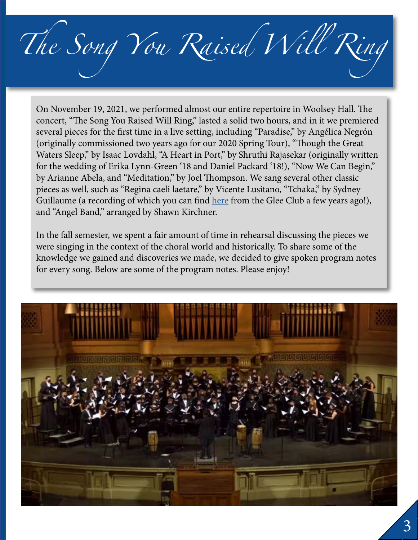*The Song You Raised Will Ring*

On November 19, 2021, we performed almost our entire repertoire in Woolsey Hall. The concert, "The Song You Raised Will Ring," lasted a solid two hours, and in it we premiered several pieces for the first time in a live setting, including "Paradise," by Angélica Negrón (originally commissioned two years ago for our 2020 Spring Tour), "Though the Great Waters Sleep," by Isaac Lovdahl, "A Heart in Port," by Shruthi Rajasekar (originally written for the wedding of Erika Lynn-Green '18 and Daniel Packard '18!), "Now We Can Begin," by Arianne Abela, and "Meditation," by Joel Thompson. We sang several other classic pieces as well, such as "Regina caeli laetare," by Vicente Lusitano, "Tchaka," by Sydney Guillaume (a recording of which you can find [here](https://open.spotify.com/track/5hRbMjICgIHcd4mU64frl5?si=e80681d6020f4f68&nd=1) from the Glee Club a few years ago!), and "Angel Band," arranged by Shawn Kirchner.

In the fall semester, we spent a fair amount of time in rehearsal discussing the pieces we were singing in the context of the choral world and historically. To share some of the knowledge we gained and discoveries we made, we decided to give spoken program notes for every song. Below are some of the program notes. Please enjoy!

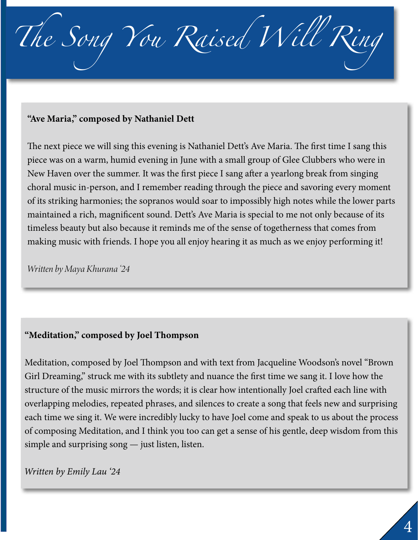

#### "Ave Maria," composed by Nathaniel Dett

The next piece we will sing this evening is Nathaniel Dett's Ave Maria. The first time I sang this piece was on a warm, humid evening in June with a small group of Glee Clubbers who were in New Haven over the summer. It was the first piece I sang after a yearlong break from singing choral music in-person, and I remember reading through the piece and savoring every moment of its striking harmonies; the sopranos would soar to impossibly high notes while the lower parts maintained a rich, magnificent sound. Dett's Ave Maria is special to me not only because of its timeless beauty but also because it reminds me of the sense of togetherness that comes from making music with friends. I hope you all enjoy hearing it as much as we enjoy performing it!

*Written by Maya Khurana '24*

#### "Meditation," composed by Joel Thompson

Meditation, composed by Joel Thompson and with text from Jacqueline Woodson's novel "Brown Girl Dreaming," struck me with its subtlety and nuance the first time we sang it. I love how the structure of the music mirrors the words; it is clear how intentionally Joel crafted each line with overlapping melodies, repeated phrases, and silences to create a song that feels new and surprising each time we sing it. We were incredibly lucky to have Joel come and speak to us about the process of composing Meditation, and I think you too can get a sense of his gentle, deep wisdom from this simple and surprising song — just listen, listen.

*Written by Emily Lau '24*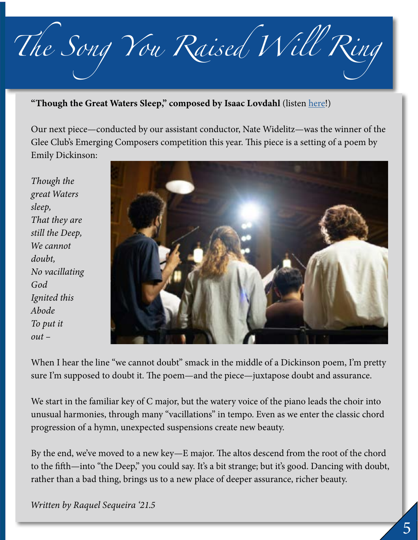*The Song You Raised Will Ring*

"Though the Great Waters Sleep," composed by Isaac Lovdahl (listen [here](https://www.youtube.com/watch?v=s4yTAowMx70)!)

Our next piece—conducted by our assistant conductor, Nate Widelitz—was the winner of the Glee Club's Emerging Composers competition this year. This piece is a setting of a poem by Emily Dickinson:

*Though the great Waters sleep, That they are still the Deep, We cannot doubt, No vacillating God Ignited this Abode To put it out –*



When I hear the line "we cannot doubt" smack in the middle of a Dickinson poem, I'm pretty sure I'm supposed to doubt it. The poem—and the piece—juxtapose doubt and assurance.

We start in the familiar key of C major, but the watery voice of the piano leads the choir into unusual harmonies, through many "vacillations" in tempo. Even as we enter the classic chord progression of a hymn, unexpected suspensions create new beauty.

By the end, we've moved to a new key—E major. The altos descend from the root of the chord to the fifth—into "the Deep," you could say. It's a bit strange; but it's good. Dancing with doubt, rather than a bad thing, brings us to a new place of deeper assurance, richer beauty.

*Written by Raquel Sequeira '21.5*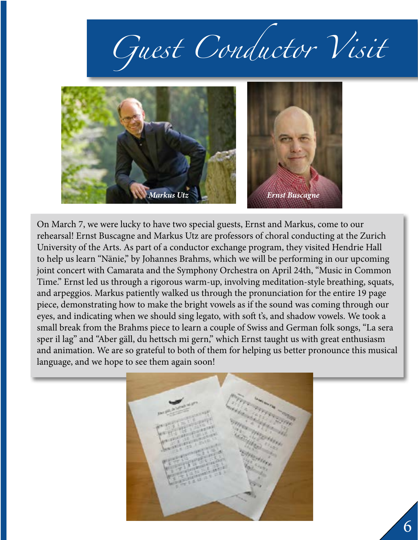# *Guest Conductor Visit*



On March 7, we were lucky to have two special guests, Ernst and Markus, come to our rehearsal! Ernst Buscagne and Markus Utz are professors of choral conducting at the Zurich University of the Arts. As part of a conductor exchange program, they visited Hendrie Hall to help us learn "Nänie," by Johannes Brahms, which we will be performing in our upcoming joint concert with Camarata and the Symphony Orchestra on April 24th, "Music in Common Time." Ernst led us through a rigorous warm-up, involving meditation-style breathing, squats, and arpeggios. Markus patiently walked us through the pronunciation for the entire 19 page piece, demonstrating how to make the bright vowels as if the sound was coming through our eyes, and indicating when we should sing legato, with soft t's, and shadow vowels. We took a small break from the Brahms piece to learn a couple of Swiss and German folk songs, "La sera sper il lag" and "Aber gäll, du hettsch mi gern," which Ernst taught us with great enthusiasm and animation. We are so grateful to both of them for helping us better pronounce this musical language, and we hope to see them again soon!

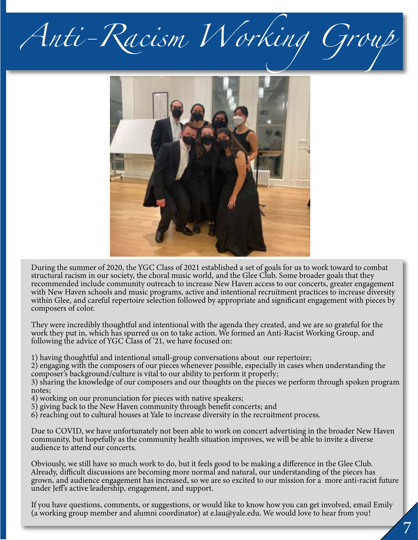## *Anti-Racism Working Group*



During the summer of 2020, the YGC Class of 2021 established a set of goals for us to work toward to combat structural racism in our society, the choral music world, and the Glee Club. Some broader goals that they recommended include community outreach to increase New Haven access to our concerts, greater engagement with New Haven schools and music programs, active and intentional recruitment practices to increase diversity within Glee, and careful repertoire selection followed by appropriate and significant engagement with pieces by composers of color.

They were incredibly thoughtful and intentional with the agenda they created, and we are so grateful for the work they put in, which has spurred us on to take action. We formed an Anti-Racist Working Group, and following the advice of YGC Class of '21, we have focused on:

1) having thoughtful and intentional small-group conversations about our repertoire;

2) engaging with the composers of our pieces whenever possible, especially in cases when understanding the composer's background/culture is vital to our ability to perform it properly;

3) sharing the knowledge of our composers and our thoughts on the pieces we perform through spoken program notes;

- 4) working on our pronunciation for pieces with native speakers;
- 5) giving back to the New Haven community through benefit concerts; and
- 6) reaching out to cultural houses at Yale to increase diversity in the recruitment process.

Due to COVID, we have unfortunately not been able to work on concert advertising in the broader New Haven community, but hopefully as the community health situation improves, we will be able to invite a diverse audience to attend our concerts.

Obviously, we still have so much work to do, but it feels good to be making a difference in the Glee Club. Already, difficult discussions are becoming more normal and natural, our understanding of the pieces has grown, and audience engagement has increased, so we are so excited to our mission for a more anti-racist future under Jeff's active leadership, engagement, and support.

If you have questions, comments, or suggestions, or would like to know how you can get involved, email Emily (a working group member and alumni coordinator) at e.lau@yale.edu. We would love to hear from you!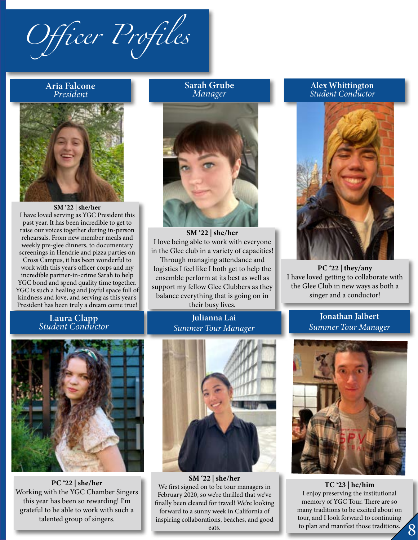*Officer Profiles*

### Aria Falcone



SM '22 | she/her I have loved serving as YGC President this past year. It has been incredible to get to raise our voices together during in-person rehearsals. From new member meals and weekly pre-glee dinners, to documentary screenings in Hendrie and pizza parties on Cross Campus, it has been wonderful to work with this year's officer corps and my incredible partner-in-crime Sarah to help

YGC bond and spend quality time together. YGC is such a healing and joyful space full of kindness and love, and serving as this year's President has been truly a dream come true!

Laura Clapp *Student Conductor*

#### Sarah Grube *Manager*



SM '22 | she/her I love being able to work with everyone in the Glee club in a variety of capacities! Through managing attendance and logistics I feel like I both get to help the ensemble perform at its best as well as support my fellow Glee Clubbers as they balance everything that is going on in their busy lives.

#### Julianna Lai *Summer Tour Manager*



PC '22 | she/her Working with the YGC Chamber Singers this year has been so rewarding! I'm grateful to be able to work with such a talented group of singers.



Aria Falcone, *President* SM '22 | she/her We first signed on to be tour managers in February 2020, so we're thrilled that we've finally been cleared for travel! We're looking forward to a sunny week in California of inspiring collaborations, beaches, and good eats.

### *President* Alex Whittington *Student Conductor*



PC '22 | they/any I have loved getting to collaborate with the Glee Club in new ways as both a singer and a conductor!

> Jonathan Jalbert *Summer Tour Manager*



5 8 TC '23 | he/him I enjoy preserving the institutional memory of YGC Tour. There are so many traditions to be excited about on tour, and I look forward to continuing to plan and manifest those traditions.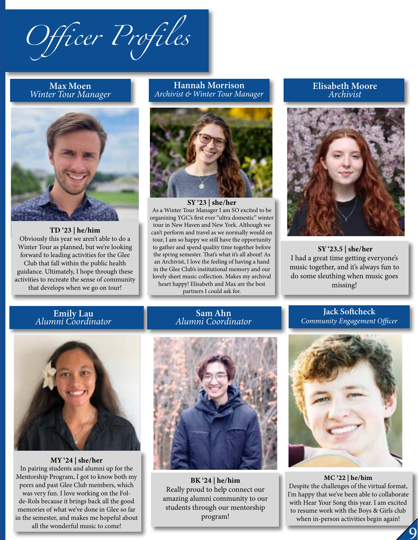*Officer Profiles*

#### Max Moen *Winter Tour Manager*



TD '23 | he/him Obviously this year we aren't able to do a Winter Tour as planned, but we're looking forward to leading activities for the Glee Club that fall within the public health guidance. Ultimately, I hope through these activities to recreate the sense of community that develops when we go on tour!

#### Hannah Morrison *Archivist & Winter Tour Manager*



SY '23 | she/her As a Winter Tour Manager I am SO excited to be organizing YGC's first ever "ultra domestic" winter tour in New Haven and New York. Although we can't perform and travel as we normally would on tour, I am so happy we still have the opportunity to gather and spend quality time together before the spring semester. That's what it's all about! As an Archivist, I love the feeling of having a hand in the Glee Club's institutional memory and our lovely sheet music collection. Makes my archival heart happy! Elisabeth and Max are the best partners I could ask for.

#### Elisabeth Moore *Archivist*



SY '23.5 | she/her I had a great time getting everyone's music together, and it's always fun to do some sleuthing when music goes missing!

Emily Lau *Alumni Coordinator*



MY '24 | she/her In pairing students and alumni up for the Mentorship Program, I got to know both my peers and past Glee Club members, which was very fun. I love working on the Folde-Rols because it brings back all the good memories of what we've done in Glee so far in the semester, and makes me hopeful about all the wonderful music to come!

#### Sam Ahn *Alumni Coordinator*

#### Jack Softcheck *Community Engagement Officer*



BK '24 | he/him Really proud to help connect our amazing alumni community to our students through our mentorship program!



5 TC '23 | he/him MC '22 | he/him Despite the challenges of the virtual format, I'm happy that we've been able to collaborate with Hear Your Song this year. I am excited to resume work with the Boys & Girls club when in-person activities begin again!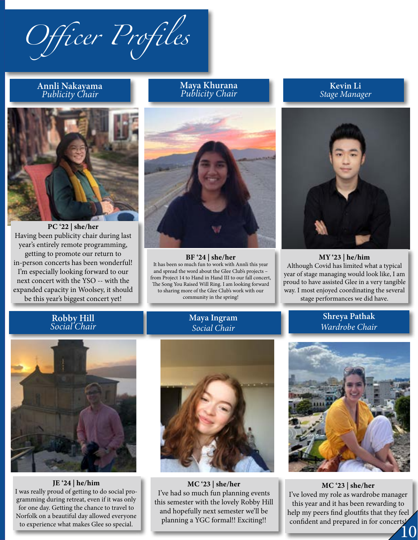*Officer Profiles*

#### Annli Nakayama *Publicity Chair*



PC '22 | she/her Having been publicity chair during last year's entirely remote programming, getting to promote our return to in-person concerts has been wonderful! I'm especially looking forward to our next concert with the YSO -- with the expanded capacity in Woolsey, it should be this year's biggest concert yet!

Maya Khurana *Publicity Chair*

![](_page_9_Picture_5.jpeg)

#### $BF '24 | she/her$

It has been so much fun to work with Annli this year and spread the word about the Glee Club's projects – from Project 14 to Hand in Hand III to our fall concert, The Song You Raised Will Ring. I am looking forward to sharing more of the Glee Club's work with our community in the spring!

> Maya Ingram *Social Chair*

Kevin Li *Stage Manager*

![](_page_9_Picture_10.jpeg)

MY '23 | he/him Although Covid has limited what a typical year of stage managing would look like, I am proud to have assisted Glee in a very tangible way. I most enjoyed coordinating the several stage performances we did have.

#### Robby Hill *Social Chair*

Shreya Pathak *Wardrobe Chair*

![](_page_9_Picture_14.jpeg)

JE '24 | he/him I was really proud of getting to do social programming during retreat, even if it was only for one day. Getting the chance to travel to Norfolk on a beautiful day allowed everyone to experience what makes Glee so special.

![](_page_9_Picture_16.jpeg)

I've had so much fun planning events this semester with the lovely Robby Hill and hopefully next semester we'll be planning a YGC formal!! Exciting!!

![](_page_9_Picture_18.jpeg)

confident and prepared in for concerts<sup>1</sup> MC '23 | she/her I've loved my role as wardrobe manager this year and it has been rewarding to help my peers find gloutfits that they feel

10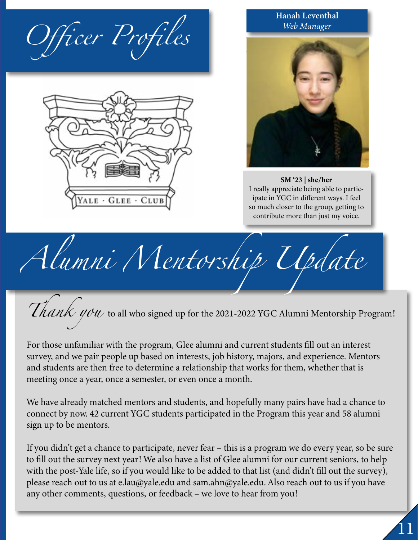![](_page_10_Picture_0.jpeg)

![](_page_10_Picture_1.jpeg)

Hanah Leventhal *Web Manager*

![](_page_10_Picture_3.jpeg)

SM '23 | she/her I really appreciate being able to participate in YGC in different ways. I feel so much closer to the group, getting to contribute more than just my voice.

*Alumni Mentorship Update*

Thank you to all who signed up for the 2021-2022 YGC Alumni Mentorship Program!

For those unfamiliar with the program, Glee alumni and current students fill out an interest survey, and we pair people up based on interests, job history, majors, and experience. Mentors and students are then free to determine a relationship that works for them, whether that is meeting once a year, once a semester, or even once a month.

We have already matched mentors and students, and hopefully many pairs have had a chance to connect by now. 42 current YGC students participated in the Program this year and 58 alumni sign up to be mentors.

If you didn't get a chance to participate, never fear – this is a program we do every year, so be sure to fill out the survey next year! We also have a list of Glee alumni for our current seniors, to help with the post-Yale life, so if you would like to be added to that list (and didn't fill out the survey), please reach out to us at e.lau@yale.edu and sam.ahn@yale.edu. Also reach out to us if you have any other comments, questions, or feedback – we love to hear from you!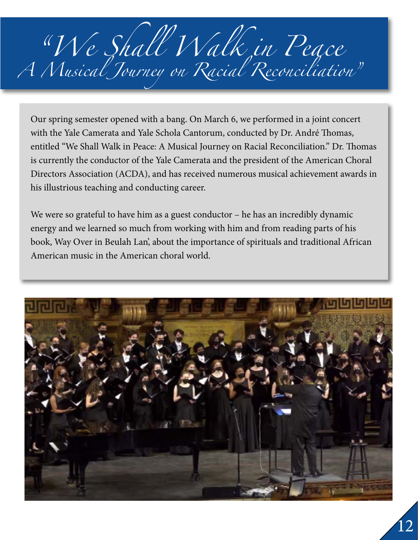## *"We Shall Walk in Peace A Musical Journey on Racial Reconciliation"*

Our spring semester opened with a bang. On March 6, we performed in a joint concert with the Yale Camerata and Yale Schola Cantorum, conducted by Dr. André Thomas, entitled "We Shall Walk in Peace: A Musical Journey on Racial Reconciliation." Dr. Thomas is currently the conductor of the Yale Camerata and the president of the American Choral Directors Association (ACDA), and has received numerous musical achievement awards in his illustrious teaching and conducting career.

We were so grateful to have him as a guest conductor – he has an incredibly dynamic energy and we learned so much from working with him and from reading parts of his book, Way Over in Beulah Lan', about the importance of spirituals and traditional African American music in the American choral world.

![](_page_11_Picture_3.jpeg)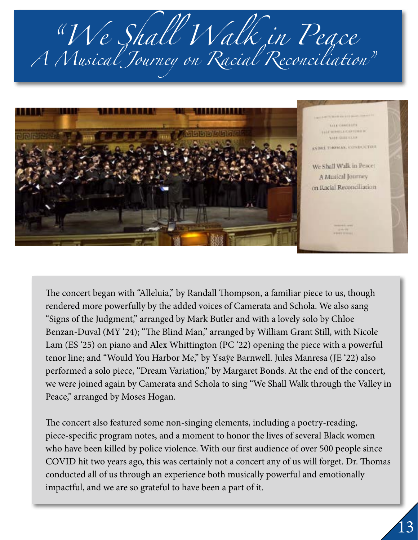*"We Shall Walk in Peace A Musical Journey on Racial Reconciliation"*

![](_page_12_Picture_1.jpeg)

The concert began with "Alleluia," by Randall Thompson, a familiar piece to us, though rendered more powerfully by the added voices of Camerata and Schola. We also sang "Signs of the Judgment," arranged by Mark Butler and with a lovely solo by Chloe Benzan-Duval (MY '24); "The Blind Man," arranged by William Grant Still, with Nicole Lam (ES '25) on piano and Alex Whittington (PC '22) opening the piece with a powerful tenor line; and "Would You Harbor Me," by Ysaÿe Barnwell. Jules Manresa (JE '22) also performed a solo piece, "Dream Variation," by Margaret Bonds. At the end of the concert, we were joined again by Camerata and Schola to sing "We Shall Walk through the Valley in Peace," arranged by Moses Hogan.

The concert also featured some non-singing elements, including a poetry-reading, piece-specific program notes, and a moment to honor the lives of several Black women who have been killed by police violence. With our first audience of over 500 people since COVID hit two years ago, this was certainly not a concert any of us will forget. Dr. Thomas conducted all of us through an experience both musically powerful and emotionally impactful, and we are so grateful to have been a part of it.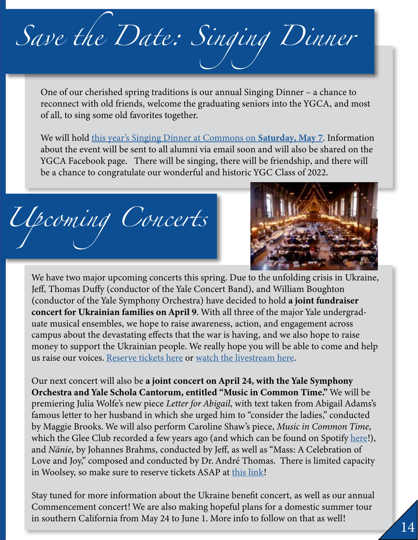# *Save the Date: Singing Dinner*

One of our cherished spring traditions is our annual Singing Dinner – a chance to reconnect with old friends, welcome the graduating seniors into the YGCA, and most of all, to sing some old favorites together.

We will hold this year's Singing Dinner at Commons on **Saturday, May 7**. Information about the event will be sent to all alumni via email soon and will also be shared on the YGCA Facebook page. There will be singing, there will be friendship, and there will be a chance to congratulate our wonderful and historic YGC Class of 2022.

*Upcoming Concerts*

![](_page_13_Picture_4.jpeg)

We have two major upcoming concerts this spring. Due to the unfolding crisis in Ukraine, Jeff, Thomas Duffy (conductor of the Yale Concert Band), and William Boughton (conductor of the Yale Symphony Orchestra) have decided to hold a joint fundraiser concert for Ukrainian families on April 9. With all three of the major Yale undergraduate musical ensembles, we hope to raise awareness, action, and engagement across campus about the devastating effects that the war is having, and we also hope to raise money to support the Ukrainian people. We really hope you will be able to come and help us raise our voices. [Reserve tickets here](https://www.eventbrite.com/e/benefit-concert-for-the-people-of-ukraine-tickets-304244582737) or [watch the livestream here.](https://yso.yalecollege.yale.edu/live-stream)

Our next concert will also be a joint concert on April 24, with the Yale Symphony Orchestra and Yale Schola Cantorum, entitled "Music in Common Time." We will be premiering Julia Wolfe's new piece *Letter for Abigail*, with text taken from Abigail Adams's famous letter to her husband in which she urged him to "consider the ladies," conducted by Maggie Brooks. We will also perform Caroline Shaw's piece, *Music in Common Time*, which the Glee Club recorded a few years ago (and which can be found on Spotify <u>[here](https://open.spotify.com/track/6GgFnIz9upNQdVK7zeZbV0?si=b16f867be42e4366&nd=1)</u>!), and *Nänie*, by Johannes Brahms, conducted by Jeff, as well as "Mass: A Celebration of Love and Joy," composed and conducted by Dr. André Thomas. There is limited capacity in Woolsey, so make sure to reserve tickets ASAP at [this link](https://www.eventbrite.com/e/music-in-common-time-yale-camerata-yale-glee-club-yale-symphony-orchestra-registration-297328466447)!

Stay tuned for more information about the Ukraine benefit concert, as well as our annual Commencement concert! We are also making hopeful plans for a domestic summer tour in southern California from May 24 to June 1. More info to follow on that as well!